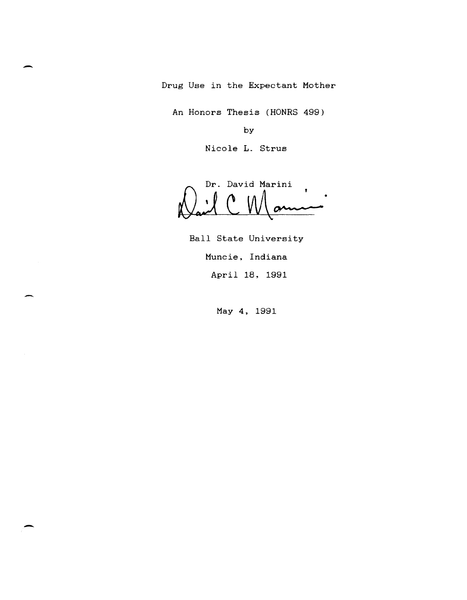Drug Use in the Expectant Mother

-

-

An Honors Thesis (HONRS 499)

by

Nicole L. Strus

Dr. David Marini • <u>ail C Mamin</u>

Ball State University Muncie, Indiana April 18, 1991

- May 4, 1991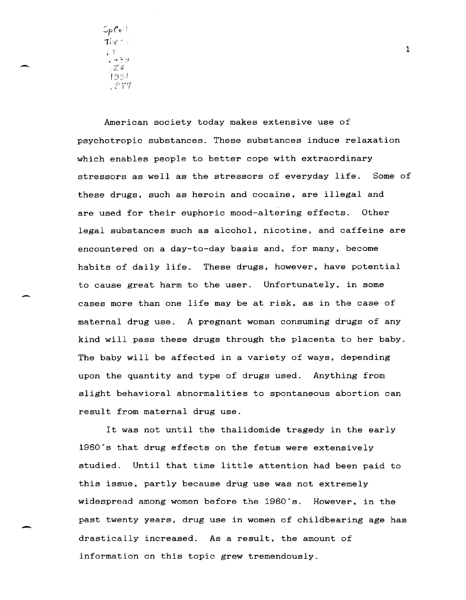$\mathop{\mathsf{Sp}}\nolimits{\mathcal C}$ o: I The  $\epsilon$  , <sup>~</sup>1 .... ~ :--~ *Zit*  [351  $\mathcal{L}$ 

-

-

American society today makes extensive use of psychotropic substances. These substances induce relaxation which enables people to better cope with extraordinary stressors as well as the stressors of everyday life. Some of these drugs, such as heroin and cocaine, are illegal and are used for their euphoric mood-altering effects. Other legal substances such as alcohol, nicotine, and caffeine are encountered on a day-to-day basis and, for many, become habits of daily life. These drugs, however, have potential to cause great harm to the user. Unfortunately, in some cases more than one life may be at risk, as in the case of maternal drug use. A pregnant woman consuming drugs of any kind will pass these drugs through the placenta to her baby. The baby will be affected in a variety of ways, depending upon the quantity and type of drugs used. Anything from slight behavioral abnormalities to spontaneous abortion can result from maternal drug use.

It was not until the thalidomide tragedy in the early 1960's that drug effects on the fetus were extensively studied. Until that time little attention had been paid to this issue. partly because drug use was not extremely widespread among women before the 1960's. However, in the past twenty years, drug use in women of childbearing age has drastically increased. As a result, the amount of information on this topic grew tremendously.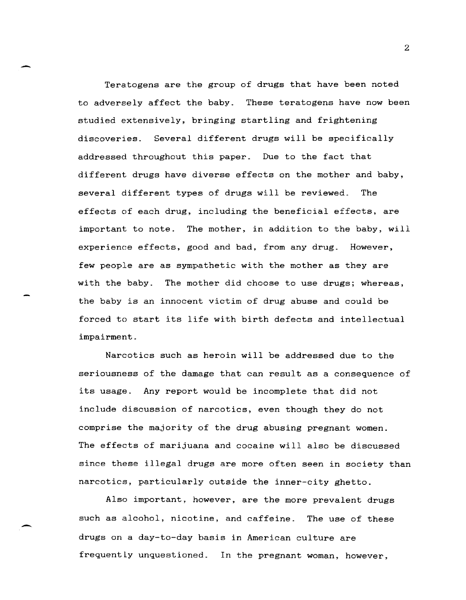Teratogens are the group of drugs that have been noted to adversely affect the baby. These teratogens have now been studied extensively, bringing startling and frightening discoveries. Several different drugs will be specifically addressed throughout this paper. Due to the fact that different drugs have diverse effects on the mother and baby, several different types of drugs will be reviewed. The effects of each drug, including the beneficial effects, are important to note. The mother, in addition to the baby, will experience effects, good and bad, from any drug. However, few people are as sympathetic with the mother as they are with the baby. The mother did choose to use drugs; whereas, the baby is an innocent victim of drug abuse and could be forced to start its life with birth defects and intellectual impairment.

Narcotics such as heroin will be addressed due to the seriousness of the damage that can result as a consequence of its usage. Any report would be incomplete that did not include discussion of narcotics, even though they do not comprise the majority of the drug abusing pregnant women. The effects of marijuana and cocaine will also be discussed since these illegal drugs are more often seen in society than narcotics, particularly outside the inner-city ghetto.

Also important, however, are the more prevalent drugs such as alcohol, nicotine, and caffeine. The use of these drugs on a day-to-day basis in American culture are frequently unquestioned. In the pregnant woman, however,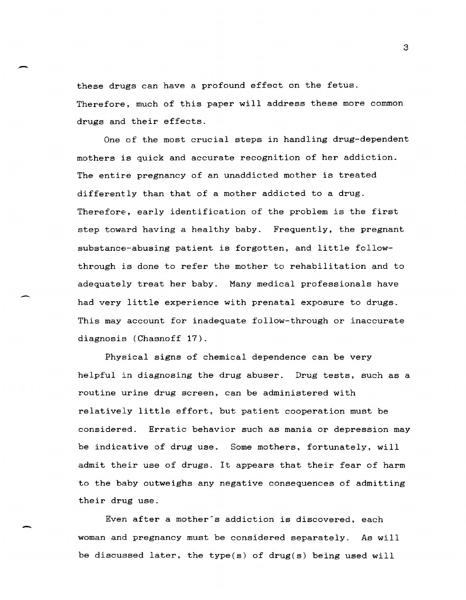these drugs can have a profound effect on the fetus. Therefore, much of this paper will address these more common drugs and their effects.

-

-

-

One of the most crucial steps in handling drug-dependent mothers is quick and accurate recognition of her addiction. The entire pregnancy of an unaddicted mother is treated differently than that of a mother addicted to a drug. Therefore, early identification of the problem is the first step toward having a healthy baby. Frequently, the pregnant substance-abusing patient is forgotten, and little followthrough is done to refer the mother to rehabilitation and to adequately treat her baby. Many medical professionals have had very little experience with prenatal exposure to drugs. This may account for inadequate follow-through or inaccurate diagnosis (Chasnoff 17).

Physical signs of chemical dependence can be very helpful in diagnosing the drug abuser. Drug tests, such as a routine urine drug screen, can be administered with relatively little effort, but patient cooperation must be considered. Erratic behavior such as mania or depression may be indicative of drug use. Some mothers, fortunately, will admit their use of drugs. It appears that their fear of harm to the baby outweighs any negative consequences of admitting their drug use.

Even after a mother's addiction is discovered, each woman and pregnancy must be considered separately. As will be discussed later, the type(s) of drug(s) being used will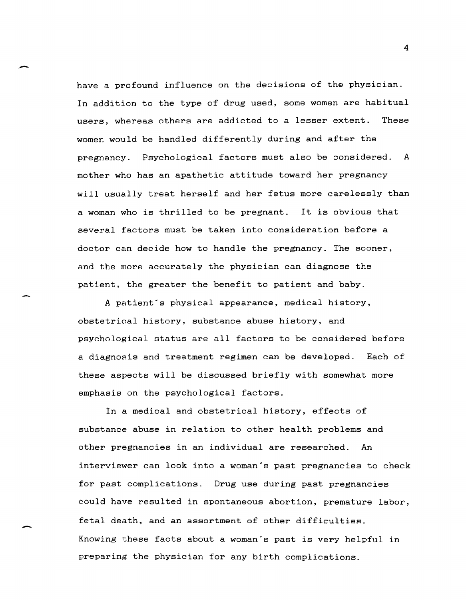have a profound influence on the decisions of the physician. In addition to the type of drug used, some women are habitual users, whereas others are addicted to a lesser extent. These women would be handled differently during and after the pregnancy. Psychological factors must also be considered. A mother who has an apathetic attitude toward her pregnancy will usually treat herself and her fetus more carelessly than a woman who is thrilled to be pregnant. It is obvious that several factors must be taken into consideration before a doctor can decide how to handle the pregnancy. The sooner, and the more accurately the physician can diagnose the patient, the greater the benefit to patient and baby.

-

-

A patient's physical appearance, medical history, obstetrical history, substance abuse history. and psychological status are all factors to be considered before a diagnosis and treatment regimen can be developed. Each of these aspects will be discussed briefly with somewhat more emphasis on the psychological factors.

In a medical and obstetrical history, effects of substance abuse in relation to other health problems and other pregnancies in an individual are researched. An interviewer can look into a woman's past pregnancies to check for past complications. Drug use during past pregnancies could have resulted in spontaneous abortion, premature labor, fetal death, and an assortment of other difficulties. Knowing these facts about a woman's past is very helpful in preparing the physician for any birth complications.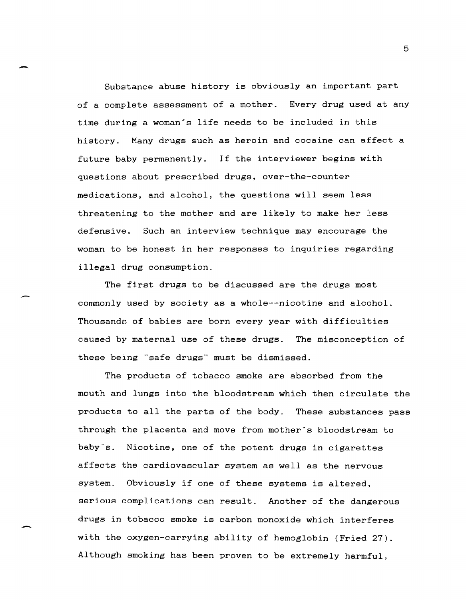Substance abuse history is obviously an important part of a complete assessment of a mother. Every drug used at any time during a woman's life needs to be included in this history. Many drugs such as heroin and cocaine can affect a future baby permanently. If the interviewer begins with questions about prescribed drugs, over-the-counter medications, and alcohol, the questions will seem less threatening to the mother and are likely to make her less defensive. Such an interview technique may encourage the woman to be honest in her responses to inquiries regarding illegal drug consumption.

-

-

The first drugs to be discussed are the drugs most commonly used by society as a whole--nicotine and alcohol. Thousands of babies are born every year with difficulties caused by maternal use of these drugs. The misconception of these being "safe drugs" must be dismissed.

The products of tobacco smoke are absorbed from the mouth and lungs into the bloodstream which then circulate the products to all the parts of the body. These substances pass through the placenta and move from mother's bloodstream to baby's. Nicotine, one of the potent drugs in cigarettes affects the cardiovascular system as well as the nervous system. Obviously if one of these systems is altered, serious complications can result. Another of the dangerous drugs in tobacco smoke is carbon monoxide which interferes with the oxygen-carrying ability of hemoglobin (Fried 27). Although smoking has been proven to be extremely harmful,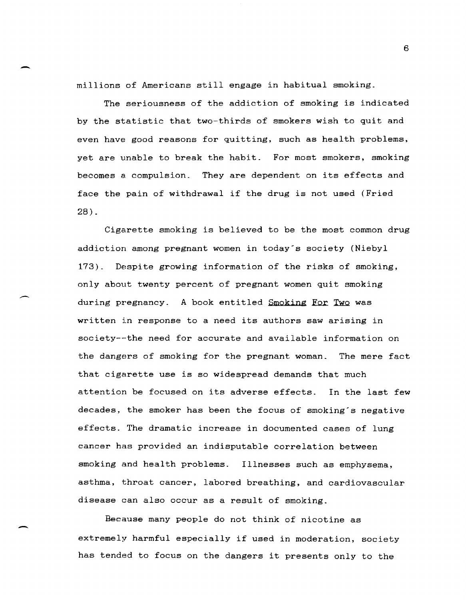millions of Americans still engage in habitual smoking.

The seriousness of the addiction of smoking is indicated by the statistic that two-thirds of smokers wish to quit and even have good reasons for quitting, such as health problems, yet are unable to break the habit. For most smokers, smoking becomes a compulsion. They are dependent on its effects and face the pain of withdrawal if the drug is not used (Fried 28).

Cigarette smoking is believed to be the most common drug addiction among pregnant women in today's society (Niebyl 173). Despite growing information of the risks of smoking, only about twenty percent of pregnant women quit smoking during pregnancy. A book entitled Smoking For Two was written in response to a need its authors saw arising in society--the need for accurate and available information on the dangers of smoking for the pregnant woman. The mere fact that cigarette use is so widespread demands that much attention be focused on its adverse effects. In the last few decades, the smoker has been the focus of smoking's negative effects. The dramatic increase in documented cases of lung cancer has provided an indisputable correlation between smoking and health problems. Illnesses such as emphysema, asthma, throat cancer, labored breathing, and cardiovascular disease can also occur as a result of smoking.

Because many people do not think of nicotine as extremely harmful especially if used in moderation, society has tended to focus on the dangers it presents only to the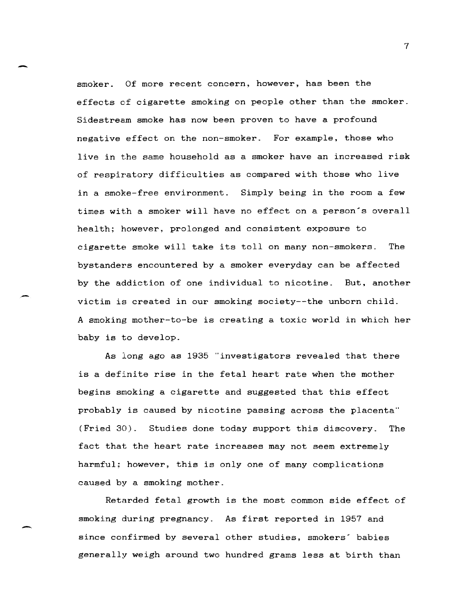smoker. Of more recent concern, however, has been the effects of cigarette smoking on people other than the smoker. Sidestream smoke has now been proven to have a profound negative effect on the non-smoker. For example, those who live in the same household as a smoker have an increased risk of respiratory difficulties as compared with those who live in a smoke-free environment. Simply being in the room a few times with a smoker will have no effect on a person's overall health; however, prolonged and consistent exposure to cigarette smoke will take its toll on many non-smokers. The bystanders encountered by a smoker everyday can be affected by the addiction of one individual to nicotine. But, another victim is created in our smoking society--the unborn child. A smoking mother-to-be is creating a toxic world in which her baby is to develop.

As long ago as 1935 "investigators revealed that there is a definite rise in the fetal heart rate when the mother begins smoking a cigarette and suggested that this effect probably is caused by nicotine passing across the placenta" (Fried 30). Studies done today support this discovery. The fact that the heart rate increases may not seem extremely harmful; however, this is only one of many complications caused by a smoking mother.

Retarded fetal growth is the most common side effect of smoking during pregnancy. As first reported in 1957 and since confirmed by several other studies, smokers' babies generally weigh around two hundred grams less at birth than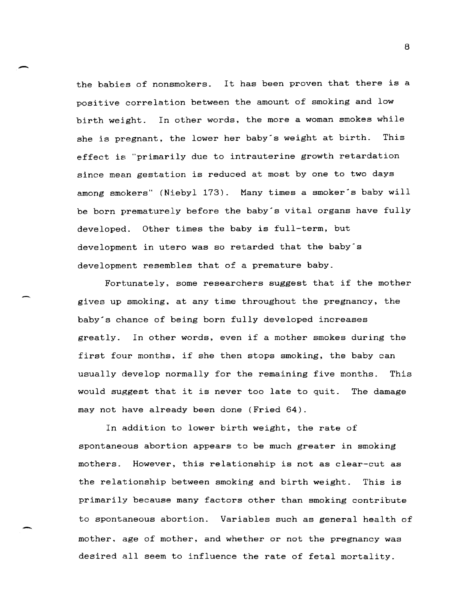the babies of nonsmokers. It has been proven that there is a positive correlation between the amount of smoking and low birth weight. In other words, the more a woman smokes while she is pregnant, the lower her baby's weight at birth. This effect is "primarily due to intrauterine growth retardation since mean gestation is reduced at most by one to two days among smokers" (Niebyl 173). Many times a smoker's baby will be born prematurely before the baby's vital organs have fully developed. Other times the baby is full-term, but development in utero was so retarded that the baby's development resembles that of a premature baby.

 $\overline{\phantom{0}}$ 

-

Fortunately, some researchers suggest that if the mother gives up smoking. at any time throughout the pregnancy, the baby's chance of being born fully developed increases greatly. In other words, even if a mother smokes during the first four months, if she then stops smoking, the baby can usually develop normally for the remaining five months. This would suggest that it is never too late to quit. The damage may not have already been done (Fried 64).

In addition to lower birth weight, the rate of spontaneous abortion appears to be much greater in smoking mothers. However, this relationship is not as clear-cut as the relationship between smoking and birth weight. This is primarily because many factors other than smoking contribute to spontaneous abortion. Variables such as general health of mother, age of mother, and whether or not the pregnancy was desired all seem to influence the rate of fetal mortality.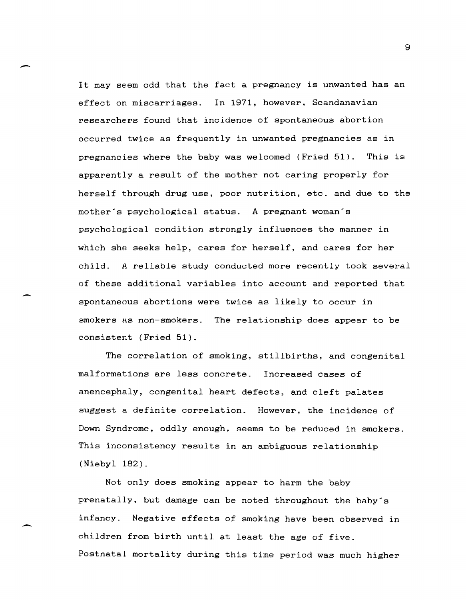It may seem odd that the fact a pregnancy is unwanted has an effect on miscarriages. In 1971, however. Scandanavian researchers found that incidence of spontaneous abortion occurred twice as frequently in unwanted pregnancies as in pregnancies where the baby was welcomed (Fried 51). This is apparently a result of the mother not caring properly for herself through drug use. poor nutrition, etc. and due to the mother's psychological status. A pregnant woman's psychological condition strongly influences the manner in which she seeks help, cares for herself, and cares for her child. A reliable study conducted more recently took several of these additional variables into account and reported that spontaneous abortions were twice as likely to occur in smokers as non-smokers. The relationship does appear to be consistent (Fried 51).

-

-

The correlation of smoking, stillbirths, and congenital malformations are less concrete. Increased cases of anencephaly. congenital heart defects, and cleft palates suggest a definite correlation. However, the incidence of Down Syndrome, oddly enough, seems to be reduced in smokers. This inconsistency results in an ambiguous relationship (Niebyl 182).

Not only does smoking appear to harm the baby prenatally, but damage can be noted throughout the baby's infancy. Negative effects of smoking have been observed in children from birth until at least the age of five. Postnatal mortality during this time period was much higher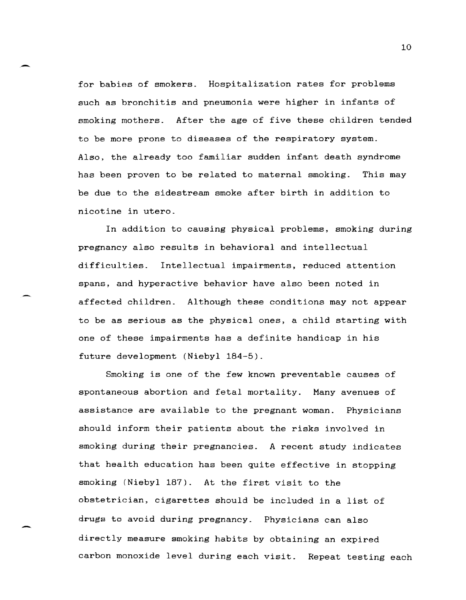for babies of smokers. Hospitalization rates for problems such as bronchitis and pneumonia were higher in infants of smoking mothers. After the age of five these children tended to be more prone to diseases of the respiratory system. Also, the already too familiar sudden infant death syndrome has been proven to be related to maternal smoking. This may be due to the sidestream smoke after birth in addition to nicotine in utero.

.-

-

In addition to causing physical problems, smoking during pregnancy also results in behavioral and intellectual difficulties. Intellectual impairments, reduced attention spans, and hyperactive behavior have also been noted in affected children. Although these conditions may not appear to be as serious as the physical ones, a child starting with one of these impairments has a definite handicap in his future development (Niebyl 184-5).

Smoking is one of the few known preventable causes of spontaneous abortion and fetal mortality. Many avenues of assistance are available to the pregnant woman. Physicians should inform their patients about the risks involved in smoking during their pregnancies. A recent study indicates that health education has been quite effective in stopping smoking (Niebyl 187). At the first visit to the obstetrician, cigarettes should be included in a list of drugs to avoid during pregnancy. Physicians can also directly measure smoking habits by obtaining an expired carbon monoxide level during each visit. Repeat testing each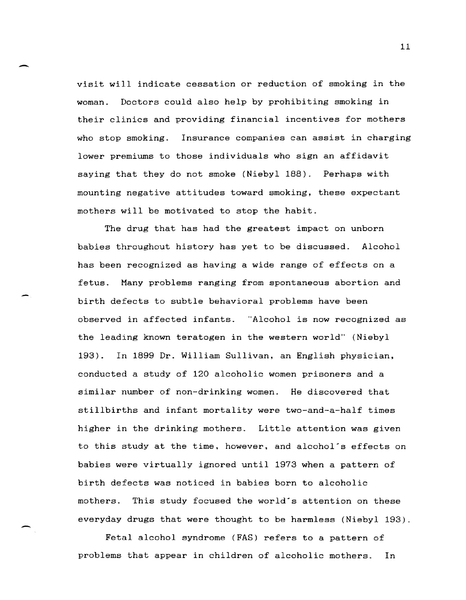visit will indicate cessation or reduction of smoking in the woman. Doctors could also help by prohibiting smoking in their clinics and providing financial incentives for mothers who stop smoking. Insurance companies can assist in charging lower premiums to those individuals who sign an affidavit saying that they do not smoke (Niebyl 188). Perhaps with mounting negative attitudes toward smoking, these expectant mothers will be motivated to stop the habit.

The drug that has had the greatest impact on unborn babies throughout history has yet to be discussed. Alcohol has been recognized as having a wide range of effects on a fetus. Many problems ranging from spontaneous abortion and birth defects to subtle behavioral problems have been observed in affected infants. "Alcohol is now recognized as the leading known teratogen in the western world" (Niebyl 193). In 1899 Dr. William Sullivan, an English physician, conducted a study of 120 alcoholic women prisoners and a similar number of non-drinking women. He discovered that stillbirths and infant mortality were two-and-a-half times higher in the drinking mothers. Little attention was given to this study at the time, however, and alcohol·s effects on babies were virtually ignored until 1973 when a pattern of birth defects was noticed in babies born to alcoholic mothers. This study focused the world's attention on these everyday drugs that were thought to be harmless (Niebyl 193).

Fetal alcohol syndrome (FAS) refers to a pattern of problems that appear in children of alcoholic mothers. In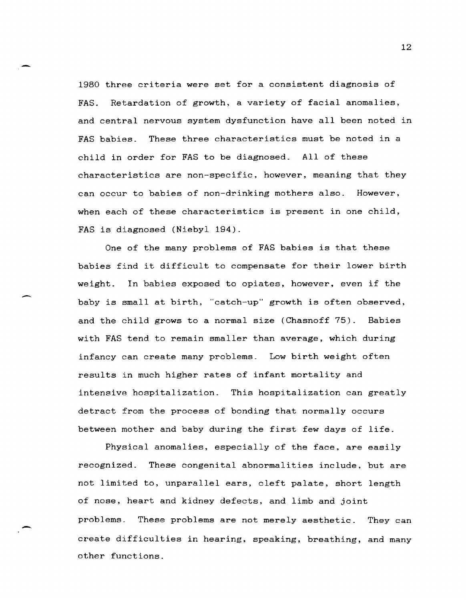1980 three criteria were set for a consistent diagnosis of FAS. Retardation of growth, a variety of facial anomalies, and central nervous system dysfunction have all been noted in FAS babies. These three characteristics must be noted in a child in order for FAS to be diagnosed. All of these characteristics are non-specific. however, meaning that they can occur to babies of non-drinking mothers also. However, when each of these characteristics is present in one child, FAS is diagnosed (Niebyl 194).

One of the many problems of FAS babies is that these babies find it difficult to compensate for their lower birth weight. In babies exposed to opiates, however, even if the baby is amall at birth, "catch-up" growth is often observed, and the child grows to a normal size (Chasnoff 75). Babies with FAS tend to remain smaller than average, which during infancy can create many problems. Low birth weight often results in much higher rates of infant mortality and intensive hospitalization. This hospitalization can greatly detract from the process of bonding that normally occurs between mother and baby during the first few days of life.

-

-

Phyaical anomalies, especially of the face, are easily recognized. These congenital abnormalities include, but are not limited to, unparallel ears, cleft palate, short length of nose, heart and kidney defects, and limb and joint problems\_ These problems are not merely aesthetic. They can create difficulties in hearing, speaking, breathing, and many other functions.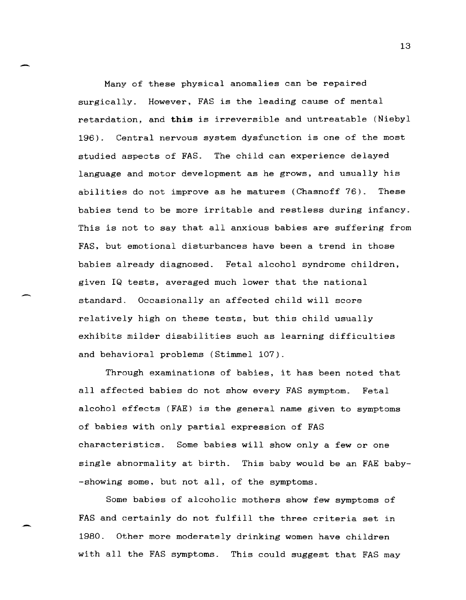Many of these physical anomalies can be repaired surgically. However, FAS is the leading cause of mental retardation, and **this** is irreversible and untreatable (Niebyl 196). Central nervous system dysfunction is one of the most studied aspects of FAS. The child can experience delayed language and motor development as he grows, and usually his abilities do not improve as he matures (Chasnoff 76). These babies tend to be more irritable and restless during infancy. This is not to say that all anxious babies are suffering from FAS, but emotional disturbances have been a trend in those babies already diagnosed. Fetal alcohol syndrome children, given IQ tests, averaged much lower that the national standard. Occasionally an affected child will score relatively high on these tests, but this child usually exhibits milder disabilities such as learning difficulties and behavioral problems (Stimmel 107).

Through examinations of babies, it has been noted that all affected babies do not show every FAS symptom. Fetal alcohol effects (FAE) is the general name given to symptoms of babies with only partial expression of FAS characteristics. Some babies will show only a few or one single abnormality at birth. This baby would be an FAE baby- -showing some, but not all, of the symptoms.

Some babies of alcoholic mothers show few symptoms of FAS and certainly do not fulfill the three criteria set in 1980. Other more moderately drinking women have children with all the FAS symptoms. This could suggest that FAS may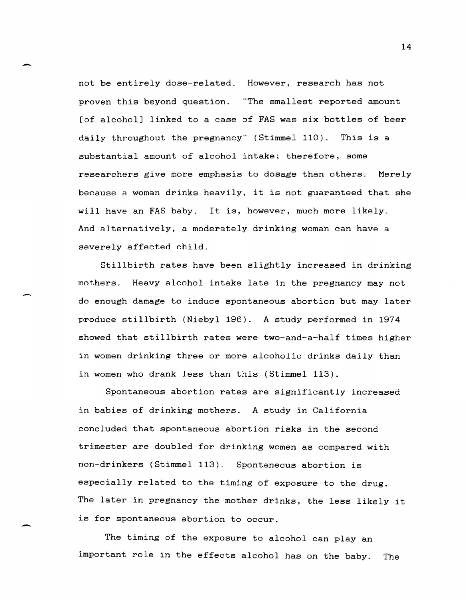not be entirely dose-related. However, research has not proven this beyond question. "The smallest reported amount [of alcohol] linked to a case of FAS was six bottles of beer daily throughout the pregnancy" (Stimmel 110). This is a substantial amount of alcohol intake; therefore, some researchers give more emphasis to dosage than others. Merely because a woman drinks heavily, it is not guaranteed that she will have an FAS baby. It is, however, much more likely. And alternatively, a moderately drinking woman can have a severely affected child.

 $\overline{\phantom{0}}$ 

-

StiLlbirth rates have been slightly increased in drinking mothers. Heavy alcohol intake late in the pregnancy may not do enough damage to induce spontaneous abortion but may later produce stillbirth (Niebyl 196). A study performed in 1974 showed that stillbirth rates were two-and-a-half times higher in women drinking three or more alcoholic drinks daily than in women who drank less than this (Stimmel 113).

Spontaneous abortion rates are significantly increased in babies of drinking mothers. A study in California concluded that spontaneous abortion risks in the second trimester are doubled for drinking women as compared with non-drinkers (Stimmel 113). Spontaneous abortion is especially related to the timing of exposure to the drug. The later in pregnancy the mother drinks, the less likely it is for spontaneous abortion to occur.

The timing of the exposure to alcohol can play an important role in the effects alcohol has on the baby. The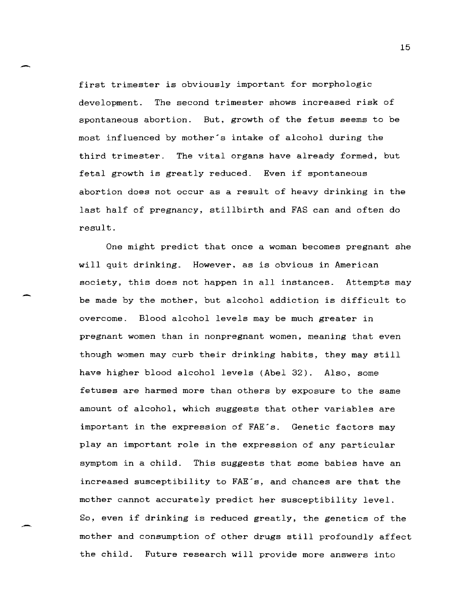first trimester is obviously important for morphologic development. The second trimester shows increased risk of spontaneous abortion. But, growth of the fetus seems to be most influenced by mother's intake of alcohol during the third trimester. The vital organs have already formed, but fetal growth is greatly reduced. Even if spontaneous abortion does not occur as a result of heavy drinking in the last half of pregnancy, stillbirth and FAS can and often do result.

One might predict that once a woman becomes pregnant she will quit drinking. However, as is obvious in American society, this does not happen in all instances. Attempts may be made by the mother, but alcohol addiction is difficult to overcome. Blood alcohol levels may be much greater in pregnant women than in nonpregnant women, meaning that even though women may curb their drinking habits, they may still have higher blood alcohol levels (Abel 32). Also, some fetuses are harmed more than others by exposure to the same amount of alcohol, which suggests that other variables are important in the expression of FAE's. Genetic factors may play an important role in the expression of any particular symptom in a child. This suggests that some babies have an increased susceptibility to FAE's, and chances are that the mother cannot accurately predict her susceptibility level. So, even if drinking is reduced greatly, the genetics of the mother and consumption of other drugs still profoundly affect the child. Future research will provide more answers into

 $\sim$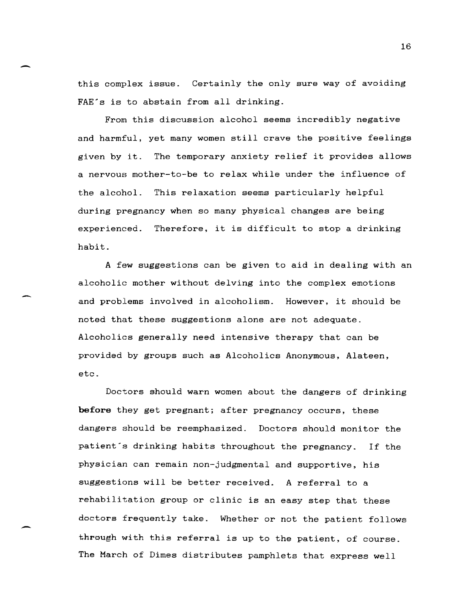this complex issue. Certainly the only sure way of avoiding FAE<sup> $\epsilon$ </sup>s is to abstain from all drinking.

-

,-

From this discussion alcohol seems incredibly negative and harmful, yet many women still crave the positive feelings given by it. The temporary anxiety relief it provides allows a nervous mother-to-be to relax while under the influence of the alcohol. This relaxation seems particularly helpful during pregnancy when so many physical changes are being experienced. Therefore, it is difficult to stop a drinking habit.

A few suggestions can be given to aid in dealing with an alcoholic mother without delving into the complex emotions and problems involved in alcoholism. However, it should be noted that these suggestions alone are not adequate. Alcoholics generally need intensive therapy that can be provided by groups such as Alcoholics Anonymous, Alateen, etc.

Doctors should warn women about the dangers of drinking **before** they get pregnant; after pregnancy occurs, these dangers should be reemphasized. Doctors should monitor the patient's drinking habits throughout the pregnancy. If the physician can remain non-judgmental and supportive, his suggestions will be better received. A referral to a rehabilitation group or clinic is an easy step that these doctors frequently take. Whether or not the patient follows through with this referral is up to the patient, of course. The March of Dimes distributes pamphlets that express well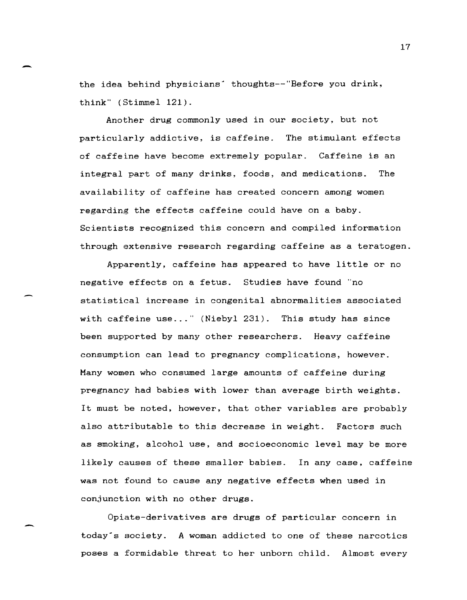the idea behind physicians' thoughts--"Before you drink, think" (Stimmel 121).

-

-

Another drug commonly used in our society, but not particularly addictive, is caffeine. The stimulant effects of caffeine have become extremely popular. Caffeine is an integral part of many drinks, foods, and medications. The availability of caffeine has created concern among women regarding the effects caffeine could have on a baby. Scientists recognized this concern and compiled information through extensive research regarding caffeine as a teratogen.

Apparently, caffeine has appeared to have little or no negative effects on a fetus. Studies have found "no statistical increase in congenital abnormalities associated with caffeine use..." (Niebyl 231). This study has since been supported by many other researchers. Heavy caffeine consumption can lead to pregnancy complications, however. Many women who consumed large amounts of caffeine during pregnancy had babies with lower than average birth weights. It must be noted, however, that other variables are probably also attributable to this decrease in weight. Factors such as smoking, alcohol use, and socioeconomic level may be more likely causes of these smaller babies. In any case, caffeine was not found to cause any negative effects when used in conjunction with no other drugs.

Opiate-derivatives are drugs of particular concern in today's society. A woman addicted to one of these narcotics poses a formidable threat to her unborn child. Almost every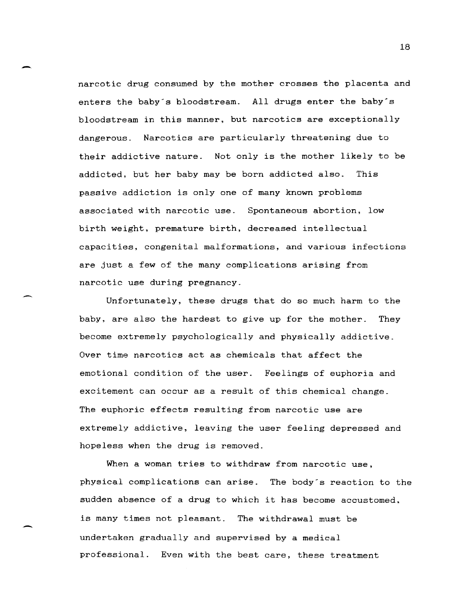narcotic drug consumed by the mother crosses the placenta and enters the baby's bloodstream. All drugs enter the baby's bloodstream in this manner, but narcotics are exceptionally dangerous. Narcotics are particularly threatening due to their addictive nature. Not only is the mother likely to be addicted, but her baby may be born addicted also. This passive addiction is only one of many known problems associated with narcotic use. Spontaneous abortion, low birth weight, premature birth, decreased intellectual capacities, congenital malformations, and various infections are just a few of the many complications arising from narcotic use during pregnancy.

Unfortunately, these drugs that do so much harm to the baby, are also the hardest to give up for the mother. They become extremely psychologically and physically addictive. Over time narcotics act as chemicals that affect the emotional condition of the user. Feelings of euphoria and excitement can occur as a result of this chemical change. The euphoric effects resulting from narcotic use are extremely addictive, leaving the user feeling depressed and hopeless when the drug is removed.

When a woman tries to withdraw from narcotic use. physical complications can arise. The body's reaction to the sudden absence of a drug to which it has become accustomed. is many times not pleasant. The withdrawal must be undertaken gradually and supervised by a medical professional. Even with the best care, these treatment

 $\sim$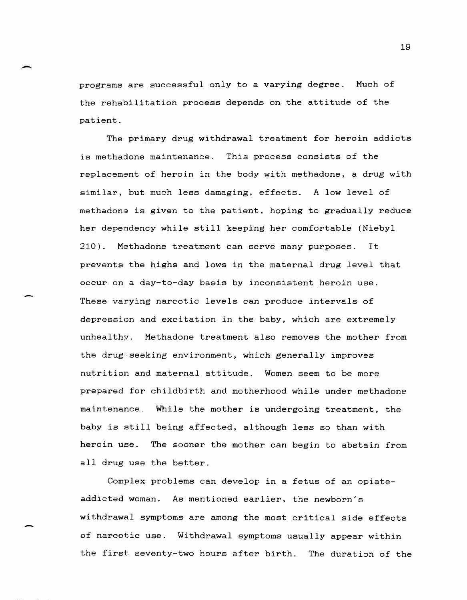programs are successful only to a varying degree. Much of the rehabilitation process depends on the attitude of the patient.

-

-

The primary drug withdrawal treatment for heroin addicts is methadone maintenance. This process consists of the replacement of heroin in the body with methadone, a drug with similar. but much less damaging, effects. A low level of methadone is given to the patient, hoping to gradually reduce her dependency while still keeping her comfortable (Niebyl 210). Methadone treatment can serve many purposes. It prevents the highs and lows in the maternal drug level that occur on a day-to-day basis by inconsistent heroin use. These varying narcotic levels can produce intervals of depression and excitation in the baby, which are extremely unhealthy. Methadone treatment also removes the mother from the drug-seeking environment, which generally improves nutrition and maternal attitude. Women seem to be more prepared for childbirth and motherhood while under methadone maintenance. While the mother is undergoing treatment, the baby is still being affected, although less so than with heroin use. The sooner the mother can begin to abstain from all drug use the better.

Complex problems can develop in a fetus of an opiateaddicted woman. As mentioned earlier, the newborn's withdrawal symptoms are among the most critical side effects of narcotic use. Withdrawal symptoms usually appear within the first seventy-two hours after birth. The duration of the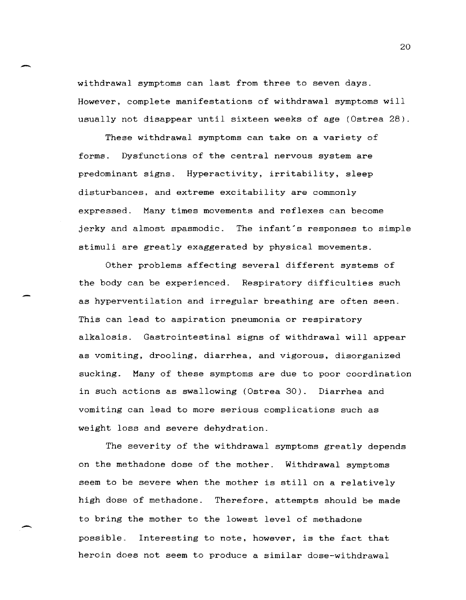withdrawal symptoms can last from three to seven days. However, complete manifestations of withdrawal symptoms will usually not disappear until sixteen weeks of age (Ostrea 28).

.-

 $\overline{\phantom{0}}$ 

These withdrawal symptoms can take on a variety of forms. Dysfunctions of the central nervous system are predominant signs. Hyperactivity, irritability, sleep disturbances. and extreme excitability are commonly expressed. Many times movements and reflexes can become jerky and almost spasmodic. The infant"s responses to simple stimuli are greatly exaggerated by physical movements.

Other problems affecting several different systems of the body can be experienced. Respiratory difficulties such as hyperventilation and irregular breathing are often seen. This can lead to aspiration pneumonia or respiratory alkalosis. Gastrointestinal signs of withdrawal will appear as vomiting, drooling, diarrhea, and vigorous, disorganized sucking. Many of these symptoms are due to poor coordination in such actions as swallowing (Ostrea 30). Diarrhea and vomiting can lead to more serious complications such as weight loss and severe dehydration.

The severity of the withdrawal symptoms greatly depends on the methadone dose of the mother. Withdrawal symptoms seem to be severe when the mother is still on a relatively high dose of methadone. Therefore. attempts should be made to bring the mother to the lowest level of methadone possible. Interesting to note, however, is the fact that heroin does not seem to produce a similar dose-withdrawal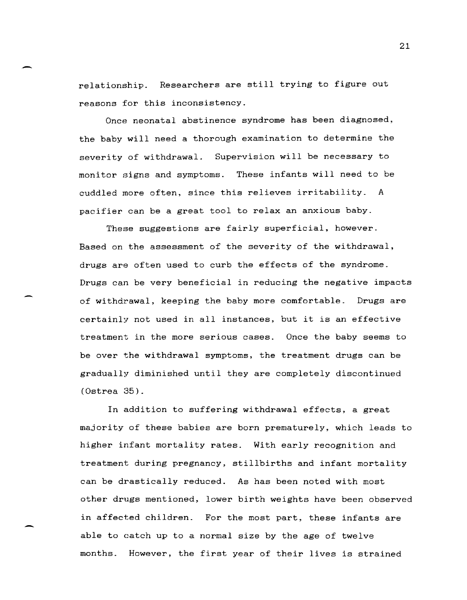relationship. Researchers are still trying to figure out reasons for this inconsistency.

-

-

Once neonatal abstinence syndrome has been diagnosed, the baby will need a thorough examination to determine the severity of withdrawal. Supervision will be necessary to monitor signs and symptoms. These infants will need to be cuddled more often, since this relieves irritability. A pacifier can be a great tool to relax an anxious baby.

These suggestions are fairly superficial, however. Based on the assessment of the severity of the withdrawal, drugs are often used to curb the effects of the syndrome. Drugs can be very beneficial in reducing the negative impacts of withdrawal, keeping the baby more comfortable. Drugs are certainly not used in all instances, but it is an effective treatment in the more serious cases. Once the baby seems to be over the withdrawal symptoms, the treatment drugs can be gradually diminished until they are completely discontinued  $(0$ strea  $35)$ .

In addition to suffering withdrawal effects, a great majority of these babies are born prematurely, which leads to higher infant mortality rates. With early recognition and treatment during pregnancy, stillbirths and infant mortality can be drastically reduced. As has been noted with most other drugs mentioned, lower birth weights have been observed in affected children. For the most part, these infants are able to catch up to a normal size by the age of twelve months. However, the first year of their lives is strained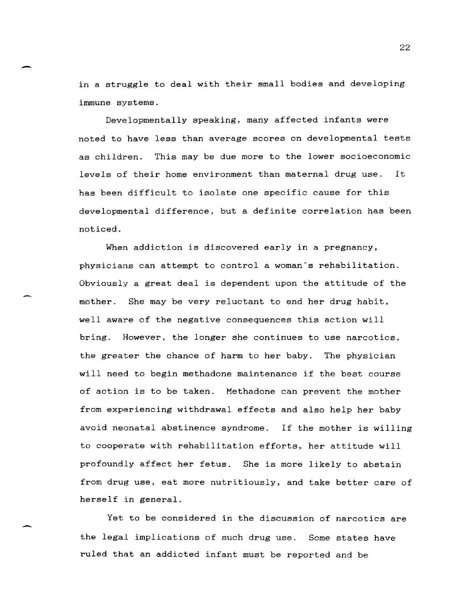in a struggle to deal with their small bodies and developing immune systems.

--

-

Developmentally speaking, many affected infants were noted to have less than average scores on developmental tests as children. This may be due more to the lower socioeconomic levels of their home environment than maternal drug use. It has been difficult to isolate one specific cause for this developmental difference, but a definite correlation has been noticed.

When addiction is discovered early in a pregnancy, physicians can attempt to control a woman's rehabilitation. Obviously a great deal is dependent upon the attitude of the mother. She may be very reluctant to end her drug habit, well aware of the negative consequences this action will bring. However, the longer she continues to use narcotics, the greater the chance of harm to her baby. The physician will need to begin methadone maintenance if the best course of action is to be taken. Methadone can prevent the mother from experiencing withdrawal effects and also help her baby avoid neonatal abstinence syndrome. If the mother is willing to cooperate with rehabilitation efforts, her attitude will profoundly affect her fetus. She is more likely to abstain from drug use, eat more nutritiously, and take better care of herself in general.

Yet to be considered in the discussion of narcotics are the legal implications of such drug use. Some states have ruled that an addicted infant must be reported and be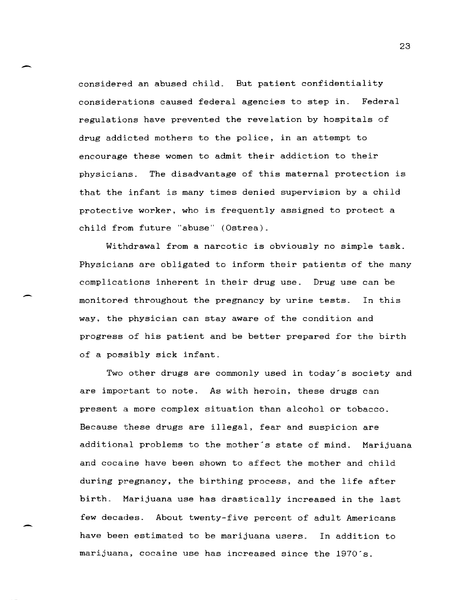considered an abused child. But patient confidentiality considerations caused federal agencies to step in. Federal regulations have prevented the revelation by hospitals of drug addicted mothers to the police, in an attempt to encourage these women to admit their addiction to their physicians. The disadvantage of this maternal protection is that the infant is many times denied supervision by a child protective worker. who is frequently assigned to protect a child from future "abuse" (Ostrea).

-

 $\overline{\phantom{a}}$ 

Withdrawal from a narcotic is obviously no simple task. Physicians are obligated to inform their patients of the many complications inherent in their drug use. Drug use can be monitored throughout the pregnancy by urine tests. In this way. the physician can stay aware of the condition and progress of his patient and be better prepared for the birth of a possibly sick infant.

Two other drugs are commonly used in today's society and are important to note. As with heroin, these drugs can present a more complex situation than alcohol or tobacco. Because these drugs are illegal. fear and suspicion are additional problems to the mother's state of mind. Marijuana and cocaine have been shown to affect the mother and child during pregnancy, the birthing process, and the life after birth. Marijuana use has drastically increased in the last few decades. About twenty-five percent of adult Americans have been estimated to be marijuana users. In addition to marijuana, cocaine use has increased since the 1970's.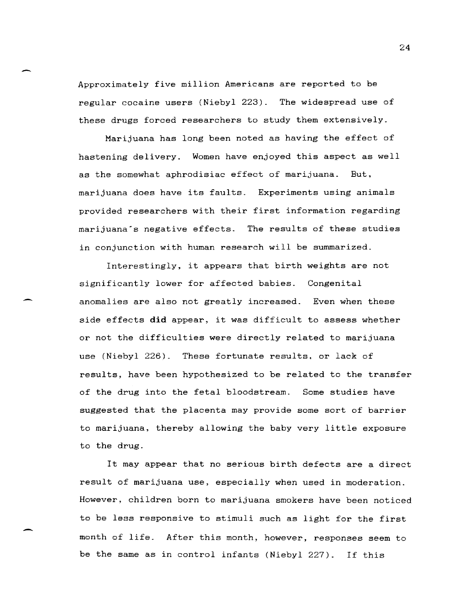Approximately five million Americans are reported to be regular cocaine users (Niebyl 223). The widespread use of these drugs forced researchers to study them extensively.

Marijuana has long been noted as having the effect of hastening delivery. Women have enjoyed this aspect as well as the somewhat aphrodisiac effect of marijuana. But, marijuana does have its faults. Experiments using animals provided researchers with their first information regarding marijuana"s negative effects. The results of these studies in conjunction with human research will be summarized.

Interestingly, it appears that birth weights are not significantly lower for affected babies. Congenital anomalies are also not greatly increased. Even when these side effects **did** appear, it was difficult to assess whether or not the difficulties were directly related to marijuana use (Niebyl 226). These fortunate results. or lack of results, have been hypothesized to be related to the transfer of the drug into the fetal bloodstream. Some studies have suggested that the placenta may provide some sort of barrier to marijuana, thereby allowing the baby very little exposure to the drug.

It may appear that no serious birth defects are a direct result of marijuana use, especially when used in moderation. However, children born to marijuana smokers have been noticed to be less responsive to stimuli such as light for the first month of life. After this month, however, responses seem to be the same as in control infants (Niebyl 227). If this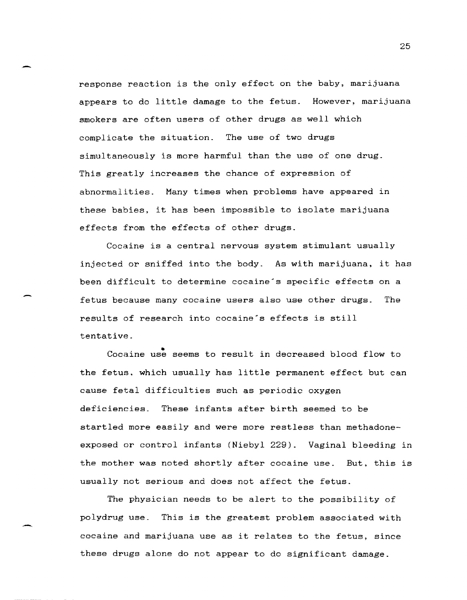response reaction is the only effect on the baby, marijuana appears to do little damage to the fetus. However, marijuana smokers are often users of other drugs as well which complicate the situation. The use of two drugs simultaneously is more harmful than the use of one drug. This greatly increases the chance of expression of abnormalities. Many times when problems have appeared in these babies, it has been impossible to isolate marijuana effects from the effects of other drugs.

Cocaine is a central nervous system stimulant usually injected or sniffed into the body. As with marijuana, it has been difficult to determine cocaine's specific effects on a fetus because many cocaine users also use other drugs. The results of research into cocaine's effects is still tentative.

Cocaine use seems to result in decreased blood flow to the fetus. which usually has little permanent effect but can cause fetal difficulties such as periodic oxygen deficiencies. These infants after birth seemed to be startled more easily and were more restless than methadoneexposed or control infants (Niebyl 229). Vaginal bleeding in the mother was noted shortly after cocaine use. But, this is usually not serious and does not affect the fetus.

The physician needs to be alert to the possibility of polydrug use. This is the greatest problem associated with cocaine and marijuana use as it relates to the fetus, since these drugs alone do not appear to do significant damage.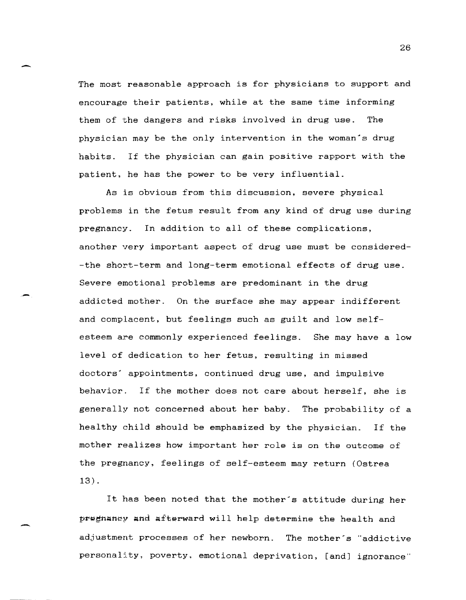The most reasonable approach is for physicians to support and encourage their patients, while at the same time informing them of the dangers and risks involved in drug use. The physician may be the only intervention in the woman's drug habits. If the physician can gain positive rapport with the patient, he has the power to be very influential.

-

-

-

As is obvious from this discussion, severe physical problems in the fetus result from any kind of drug use during pregnancy. In addition to all of these complications, another very important aspect of drug use must be considered- -the short-term and long-term emotional effects of drug use. Severe emotional problems are predominant in the drug addicted mother. On the surface she may appear indifferent and complacent, but feelings such as guilt and low selfesteem are commonly experienced feelings. She may have a low level of dedication to her fetus, resulting in missed doctors' appointments, continued drug use, and impulsive behavior. If the mother does not care about herself, she is generally not concerned about her baby. The probability of a healthy child should be emphasized by the physician. If the mother realizes how important her role is on the outcome of the pregnancy, feelings of self-esteem may return (Ostrea 13) .

It has been noted that the mother's attitude during her pregnancy and afterward will help determine the health and adjustment processes of her newborn. The mother's "addictive personality, poverty, emotional deprivation, [and] ignorance"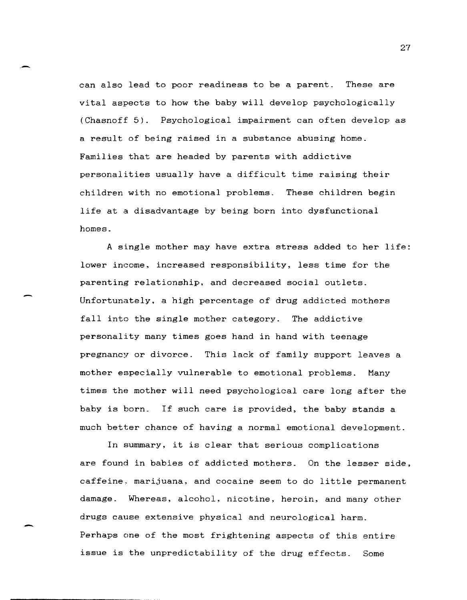can also lead to poor readiness to be a parent. These are vital aspects to how the baby will develop psychologically (Chasnoff 5). Psychological impairment can often develop as a result of being raised in a substance abusing home. Families that are headed by parents with addictive personalities usually have a difficult time raising their children with no emotional problems. These children begin life at a disadvantage by being born into dysfunctional homes.

,-

-

A single mother may have extra stress added to her life: lower income, increased responsibility, less time for the parenting relationship, and decreased social outlets. Unfortunately, a high percentage of drug addicted mothers fall into the single mother category. The addictive personality many times goes hand in hand with teenage pregnancy or divorce. This lack of family support leaves a mother especially vulnerable to emotional problems. Many times the mother will need psychological care long after the baby is born. If such care is provided, the baby stands a much better chance of having a normal emotional development.

In Bummary, it is clear that serious complications are found in babies of addicted mothers. On the lesser side, caffeine, marijuana, and cocaine seem to do little permanent damage. Whereas, alcohol, nicotine, heroin, and many other drugs cause extensive physical and neurological harm. Perhaps one of the most frightening aspects of this entire issue is the unpredictability of the drug effects. Some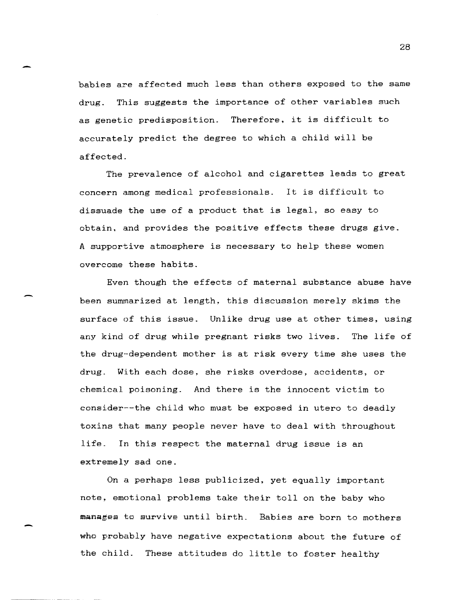babies are affected much less than others exposed to the same drug. This suggests the importance of other variables such as genetic predisposition. Therefore, it is difficult to accurately predict the degree to which a child will be affected.

The prevalence of alcohol and cigarettes leads to great concern among medical professionals. It is difficult to dissuade the use of a product that is legal, so easy to obtain. and provides the positive effects these drugs give. A supportive atmosphere is necessary to help these women overcome these habits.

Even though the effects of maternal substance abuse have been summarized at length, this discussion merely skims the surface of this issue. Unlike drug use at other times, using any kind of drug while pregnant risks two lives. The life of the drug-dependent mother is at risk every time she uses the drug. With each dose, she risks overdose, accidents, or chemical poisoning. And there is the innocent victim to consider---the child who must be exposed in utero to deadly toxins that many people never have to deal with throughout life. In this respect the maternal drug issue is an extremely sad one.

On a perhaps less publicized, yet equally important note, emotional problems take their toll on the baby who manages to survive until birth. Babies are born to mothers who probably have negative expectations about the future of the child. These attitudes do little to foster healthy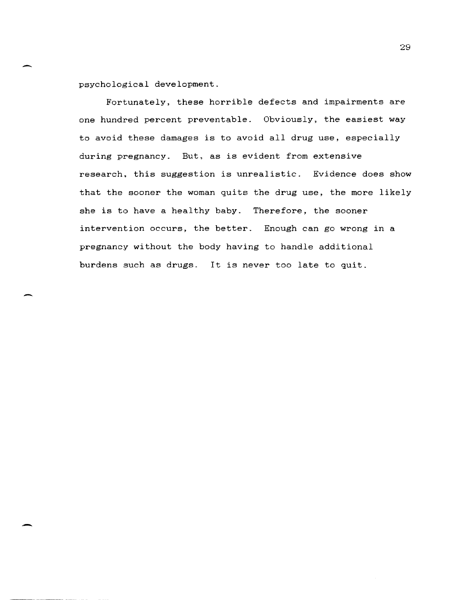psychological development.

Fortunately, these horrible defects and impairments are one hundred percent preventable. Obviously, the easiest way to avoid these damages is to avoid all drug use, especially during pregnancy. But. as is evident from extensive research. this suggestion is unrealistic. Evidence does show that the sooner the woman quits the drug use, the more likely she is to have a healthy baby. Therefore, the sooner intervention occurs, the better. Enough can go wrong in a pregnancy without the body having to handle additional burdens such as drugs. It is never too late to quit.